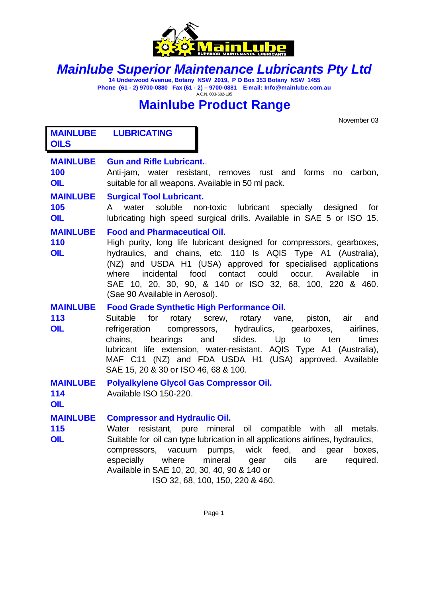

# *Mainlube Superior Maintenance Lubricants Pty Ltd*

**14 Underwood Avenue, Botany NSW 2019, P O Box 353 Botany NSW 1455 Phone (61 - 2) 9700-0880 Fax (61 - 2) – 9700-0881 E-mail: Info@mainlube.com.au** A.C.N. 003-602-195

# **Mainlube Product Range**

November 03

**MAINLUBE LUBRICATING OILS**

## **MAINLUBE Gun and Rifle Lubricant.**.

**100** Anti-jam, water resistant, removes rust and forms no carbon, **OIL** suitable for all weapons. Available in 50 ml pack.

## **MAINLUBE Surgical Tool Lubricant.**

**105** A water soluble non-toxic lubricant specially designed for **OIL** lubricating high speed surgical drills. Available in SAE 5 or ISO 15.

## **MAINLUBE Food and Pharmaceutical Oil.**

**110** High purity, long life lubricant designed for compressors, gearboxes, **OIL** hydraulics, and chains, etc. 110 Is AQIS Type A1 (Australia), (NZ) and USDA H1 (USA) approved for specialised applications where incidental food contact could occur. Available in SAE 10, 20, 30, 90, & 140 or ISO 32, 68, 100, 220 & 460. (Sae 90 Available in Aerosol).

## **MAINLUBE Food Grade Synthetic High Performance Oil.**

**113** Suitable for rotary screw, rotary vane, piston, air and **OIL** refrigeration compressors, hydraulics, gearboxes, airlines, chains, bearings and slides. Up to ten times lubricant life extension, water-resistant. AQIS Type A1 (Australia), MAF C11 (NZ) and FDA USDA H1 (USA) approved. Available SAE 15, 20 & 30 or ISO 46, 68 & 100.

## **MAINLUBE Polyalkylene Glycol Gas Compressor Oil.**

**114** Available ISO 150-220.

**OIL**

## **MAINLUBE Compressor and Hydraulic Oil.**

**115** Water resistant, pure mineral oil compatible with all metals. **OIL** Suitable for oil can type lubrication in all applications airlines, hydraulics, compressors, vacuum pumps, wick feed, and gear boxes, especially where mineral gear oils are required. Available in SAE 10, 20, 30, 40, 90 & 140 or ISO 32, 68, 100, 150, 220 & 460.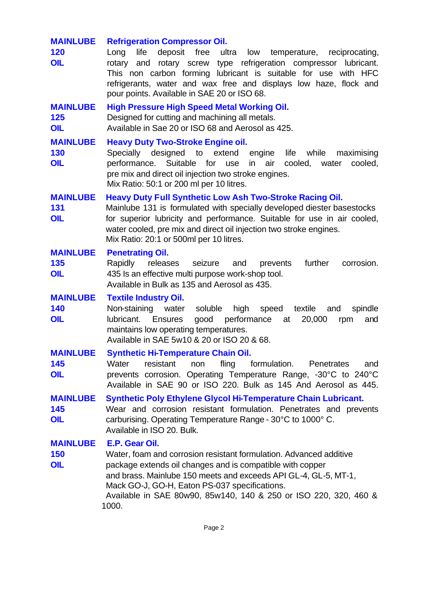## **MAINLUBE Refrigeration Compressor Oil. 120** Long life deposit free ultra low temperature, reciprocating, **OIL** rotary and rotary screw type refrigeration compressor lubricant. This non carbon forming lubricant is suitable for use with HFC refrigerants, water and wax free and displays low haze, flock and pour points. Available in SAE 20 or ISO 68. **MAINLUBE High Pressure High Speed Metal Working Oil. 125** Designed for cutting and machining all metals. **OIL** Available in Sae 20 or ISO 68 and Aerosol as 425. **MAINLUBE Heavy Duty Two-Stroke Engine oil. 130** Specially designed to extend engine life while maximising **OIL performance.** Suitable for use in air cooled, water cooled, pre mix and direct oil injection two stroke engines. Mix Ratio: 50:1 or 200 ml per 10 litres. **MAINLUBE Heavy Duty Full Synthetic Low Ash Two-Stroke Racing Oil. 131** Mainlube 131 is formulated with specially developed diester basestocks **OIL** for superior lubricity and performance. Suitable for use in air cooled, water cooled, pre mix and direct oil injection two stroke engines. Mix Ratio: 20:1 or 500ml per 10 litres. **MAINLUBE Penetrating Oil. 135** Rapidly releases seizure and prevents further corrosion. **OIL** 435 Is an effective multi purpose work-shop tool. Available in Bulk as 135 and Aerosol as 435. **MAINLUBE Textile Industry Oil. 140** Non-staining water soluble high speed textile and spindle **OIL** lubricant. Ensures good performance at 20,000 rpm and maintains low operating temperatures. Available in SAE 5w10 & 20 or ISO 20 & 68. **MAINLUBE Synthetic Hi-Temperature Chain Oil. 145** Water resistant non fling formulation. Penetrates and **OIL** prevents corrosion. Operating Temperature Range, -30°C to 240°C Available in SAE 90 or ISO 220. Bulk as 145 And Aerosol as 445. **MAINLUBE Synthetic Poly Ethylene Glycol Hi-Temperature Chain Lubricant. 145** Wear and corrosion resistant formulation. Penetrates and prevents **OIL** carburising. Operating Temperature Range - 30°C to 1000° C. Available in ISO 20. Bulk. **MAINLUBE E.P. Gear Oil. 150** Water, foam and corrosion resistant formulation. Advanced additive **OIL** package extends oil changes and is compatible with copper and brass. Mainlube 150 meets and exceeds API GL-4, GL-5, MT-1, Mack GO-J, GO-H, Eaton PS-037 specifications. Available in SAE 80w90, 85w140, 140 & 250 or ISO 220, 320, 460 & 1000.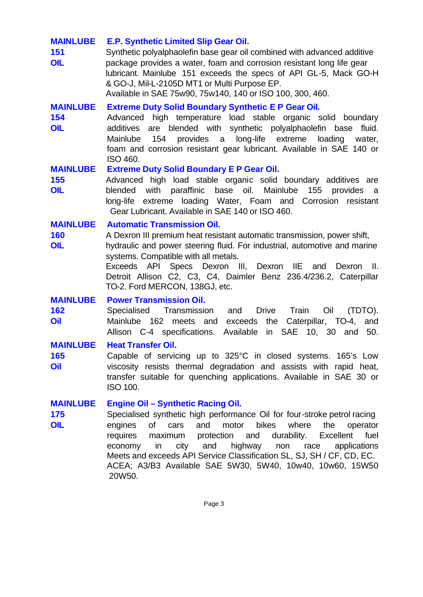## **MAINLUBE E.P. Synthetic Limited Slip Gear Oil.**

**151** Synthetic polyalphaolefin base gear oil combined with advanced additive **OIL** package provides a water, foam and corrosion resistant long life gear lubricant. Mainlube 151 exceeds the specs of API GL-5, Mack GO-H & GO-J, Mil-L-2105D MT1 or Multi Purpose EP. Available in SAE 75w90, 75w140, 140 or ISO 100, 300, 460.

## **MAINLUBE Extreme Duty Solid Boundary Synthetic E P Gear Oil.**

**154** Advanced high temperature load stable organic solid boundary **OIL** additives are blended with synthetic polyalphaolefin base fluid. Mainlube 154 provides a long-life extreme loading water, foam and corrosion resistant gear lubricant. Available in SAE 140 or ISO 460.

## **MAINLUBE Extreme Duty Solid Boundary E P Gear Oil.**

**155** Advanced high load stable organic solid boundary additives are **OIL** blended with paraffinic base oil. Mainlube 155 provides a long-life extreme loading Water, Foam and Corrosion resistant Gear Lubricant. Available in SAE 140 or ISO 460.

#### **MAINLUBE Automatic Transmission Oil.**

**160** A Dexron III premium heat resistant automatic transmission, power shift, **OIL** hydraulic and power steering fluid. For industrial, automotive and marine systems. Compatible with all metals.

> Exceeds API Specs Dexron III, Dexron IIE and Dexron II. Detroit Allison C2, C3, C4, Daimler Benz 236.4/236.2, Caterpillar TO-2. Ford MERCON, 138GJ, etc.

## **MAINLUBE Power Transmission Oil.**

**162** Specialised Transmission and Drive Train Oil (TDTO). **Oil** Mainlube 162 meets and exceeds the Caterpillar, TO-4, and Allison C-4 specifications. Available in SAE 10, 30 and 50.

## **MAINLUBE Heat Transfer Oil.**

**165** Capable of servicing up to 325°C in closed systems. 165's Low **Oil** viscosity resists thermal degradation and assists with rapid heat, transfer suitable for quenching applications. Available in SAE 30 or ISO 100.

#### **MAINLUBE Engine Oil – Synthetic Racing Oil.**

**175** Specialised synthetic high performance Oil for four-stroke petrol racing **OIL** engines of cars and motor bikes where the operator requires maximum protection and durability. Excellent fuel economy in city and highway non race applications Meets and exceeds API Service Classification SL, SJ, SH / CF, CD, EC. ACEA; A3/B3 Available SAE 5W30, 5W40, 10w40, 10w60, 15W50 20W50.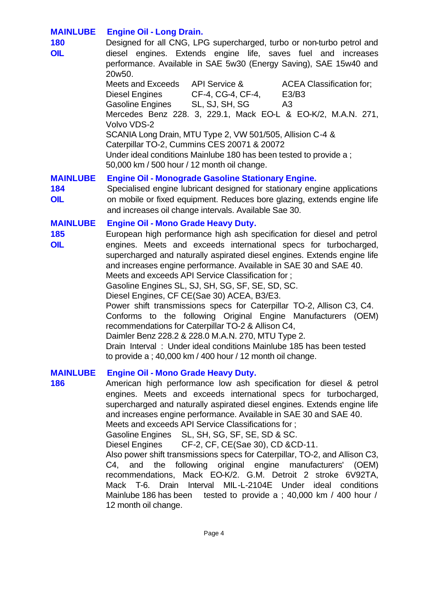## **MAINLUBE Engine Oil - Long Drain.**

**180** Designed for all CNG, LPG supercharged, turbo or non-turbo petrol and **OIL** diesel engines. Extends engine life, saves fuel and increases performance. Available in SAE 5w30 (Energy Saving), SAE 15w40 and 20w50.

Meets and Exceeds API Service & ACEA Classification for; Diesel Engines CF-4, CG-4, CF-4, E3/B3 Gasoline Engines SL, SJ, SH, SG A3 Mercedes Benz 228. 3, 229.1, Mack EO-L & EO-K/2, M.A.N. 271, Volvo VDS-2 SCANIA Long Drain, MTU Type 2, VW 501/505, Allision C-4 & Caterpillar TO-2, Cummins CES 20071 & 20072 Under ideal conditions Mainlube 180 has been tested to provide a ;

50,000 km / 500 hour / 12 month oil change.

## **MAINLUBE Engine Oil - Monograde Gasoline Stationary Engine.**

**184** Specialised engine lubricant designed for stationary engine applications **OIL** on mobile or fixed equipment. Reduces bore glazing, extends engine life and increases oil change intervals. Available Sae 30.

## **MAINLUBE Engine Oil - Mono Grade Heavy Duty.**

**185** European high performance high ash specification for diesel and petrol **OIL** engines. Meets and exceeds international specs for turbocharged, supercharged and naturally aspirated diesel engines. Extends engine life and increases engine performance. Available in SAE 30 and SAE 40.

Meets and exceeds API Service Classification for ;

Gasoline Engines SL, SJ, SH, SG, SF, SE, SD, SC.

Diesel Engines, CF CE(Sae 30) ACEA, B3/E3.

Power shift transmissions specs for Caterpillar TO-2, Allison C3, C4. Conforms to the following Original Engine Manufacturers (OEM) recommendations for Caterpillar TO-2 & Allison C4,

Daimler Benz 228.2 & 228.0 M.A.N. 270, MTU Type 2.

Drain Interval : Under ideal conditions Mainlube 185 has been tested to provide a ; 40,000 km / 400 hour / 12 month oil change.

## **MAINLUBE Engine Oil - Mono Grade Heavy Duty.**

**186** American high performance low ash specification for diesel & petrol engines. Meets and exceeds international specs for turbocharged, supercharged and naturally aspirated diesel engines. Extends engine life and increases engine performance. Available in SAE 30 and SAE 40.

Meets and exceeds API Service Classifications for ;

Gasoline Engines SL, SH, SG, SF, SE, SD & SC.

Diesel Engines CF-2, CF, CE(Sae 30), CD &CD-11.

Also power shift transmissions specs for Caterpillar, TO-2, and Allison C3, C4, and the following original engine manufacturers' (OEM) recommendations, Mack EO-K/2. G.M. Detroit 2 stroke 6V92TA, Mack T-6. Drain Interval MIL-L-2104E Under ideal conditions Mainlube 186 has been tested to provide a ; 40,000 km / 400 hour / 12 month oil change.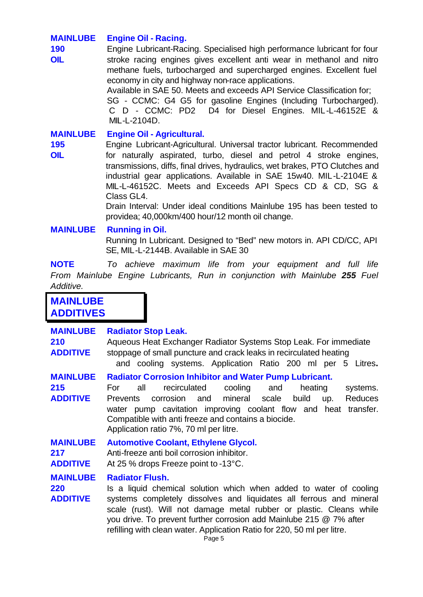## **MAINLUBE Engine Oil - Racing.**

**190** Engine Lubricant-Racing. Specialised high performance lubricant for four **OIL** stroke racing engines gives excellent anti wear in methanol and nitro methane fuels, turbocharged and supercharged engines. Excellent fuel economy in city and highway non-race applications.

> Available in SAE 50. Meets and exceeds API Service Classification for; SG - CCMC: G4 G5 for gasoline Engines (Including Turbocharged). C D - CCMC: PD2 D4 for Diesel Engines. MIL-L-46152E & MIL-L-2104D.

**MAINLUBE Engine Oil - Agricultural.**

**195** Engine Lubricant-Agricultural. Universal tractor lubricant. Recommended **OIL** for naturally aspirated, turbo, diesel and petrol 4 stroke engines, transmissions, diffs, final drives, hydraulics, wet brakes, PTO Clutches and industrial gear applications. Available in SAE 15w40. MIL-L-2104E & MIL-L-46152C. Meets and Exceeds API Specs CD & CD, SG & Class GL4.

> Drain Interval: Under ideal conditions Mainlube 195 has been tested to providea; 40,000km/400 hour/12 month oil change.

## **MAINLUBE Running in Oil.**

Running In Lubricant. Designed to "Bed" new motors in. API CD/CC, API SE, MIL-L-2144B. Available in SAE 30

**NOTE** *To achieve maximum life from your equipment and full life From Mainlube Engine Lubricants, Run in conjunction with Mainlube 255 Fuel Additive.* 

**MAINLUBE ADDITIVES**

| <b>MAINLUBE</b><br>210<br><b>ADDITIVE</b> | <b>Radiator Stop Leak.</b><br>Aqueous Heat Exchanger Radiator Systems Stop Leak. For immediate<br>stoppage of small puncture and crack leaks in recirculated heating<br>and cooling systems. Application Ratio 200 ml per 5 Litres.                                                                                                                                                          |
|-------------------------------------------|----------------------------------------------------------------------------------------------------------------------------------------------------------------------------------------------------------------------------------------------------------------------------------------------------------------------------------------------------------------------------------------------|
| <b>MAINLUBE</b><br>215<br><b>ADDITIVE</b> | <b>Radiator Corrosion Inhibitor and Water Pump Lubricant.</b><br>recirculated<br>cooling<br>all<br>heating<br>For.<br>and<br>systems.<br>mineral scale<br>corrosion and<br>build<br><b>Reduces</b><br>Prevents<br>up.<br>water pump cavitation improving coolant flow and heat transfer.<br>Compatible with anti freeze and contains a biocide.<br>Application ratio 7%, 70 ml per litre.    |
| <b>MAINLUBE</b><br>217<br><b>ADDITIVE</b> | <b>Automotive Coolant, Ethylene Glycol.</b><br>Anti-freeze anti boil corrosion inhibitor.<br>At 25 % drops Freeze point to -13°C.                                                                                                                                                                                                                                                            |
| <b>MAINLUBE</b><br>220<br><b>ADDITIVE</b> | <b>Radiator Flush.</b><br>Is a liquid chemical solution which when added to water of cooling<br>systems completely dissolves and liquidates all ferrous and mineral<br>scale (rust). Will not damage metal rubber or plastic. Cleans while<br>you drive. To prevent further corrosion add Mainlube 215 @ 7% after<br>refilling with clean water. Application Ratio for 220, 50 ml per litre. |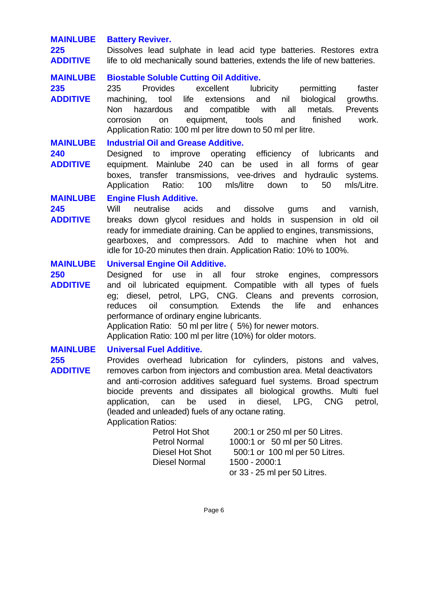## **MAINLUBE Battery Reviver.**

**225** Dissolves lead sulphate in lead acid type batteries. Restores extra **ADDITIVE** life to old mechanically sound batteries, extends the life of new batteries.

#### **MAINLUBE Biostable Soluble Cutting Oil Additive.**

**235** 235 Provides excellent lubricity permitting faster **ADDITIVE** machining, tool life extensions and nil biological growths. Non hazardous and compatible with all metals. Prevents corrosion on equipment, tools and finished work. Application Ratio: 100 ml per litre down to 50 ml per litre.

#### **MAINLUBE Industrial Oil and Grease Additive.**

**240** Designed to improve operating efficiency of lubricants and **ADDITIVE** equipment. Mainlube 240 can be used in all forms of gear boxes, transfer transmissions, vee-drives and hydraulic systems. Application Ratio: 100 mls/litre down to 50 mls/Litre.

#### **MAINLUBE Engine Flush Additive.**

**245** Will neutralise acids and dissolve gums and varnish, **ADDITIVE** breaks down glycol residues and holds in suspension in old oil ready for immediate draining. Can be applied to engines, transmissions, gearboxes, and compressors. Add to machine when hot and idle for 10-20 minutes then drain. Application Ratio: 10% to 100%.

#### **MAINLUBE Universal Engine Oil Additive.**

**250** Designed for use in all four stroke engines, compressors **ADDITIVE** and oil lubricated equipment. Compatible with all types of fuels eg; diesel, petrol, LPG, CNG. Cleans and prevents corrosion, reduces oil consumption. Extends the life and enhances performance of ordinary engine lubricants. Application Ratio: 50 ml per litre ( 5%) for newer motors.

Application Ratio: 100 ml per litre (10%) for older motors.

#### **MAINLUBE Universal Fuel Additive.**

255 **Provides overhead lubrication for cylinders**, pistons and valves, **ADDITIVE** removes carbon from injectors and combustion area. Metal deactivators and anti-corrosion additives safeguard fuel systems. Broad spectrum biocide prevents and dissipates all biological growths. Multi fuel application, can be used in diesel, LPG, CNG petrol, (leaded and unleaded) fuels of any octane rating.

Application Ratios:

| <b>Petrol Hot Shot</b> | 200:1 or 250 ml per 50 Litres. |
|------------------------|--------------------------------|
| <b>Petrol Normal</b>   | 1000:1 or 50 ml per 50 Litres. |
| <b>Diesel Hot Shot</b> | 500:1 or 100 ml per 50 Litres. |
| Diesel Normal          | 1500 - 2000:1                  |
|                        | or 33 - 25 ml per 50 Litres.   |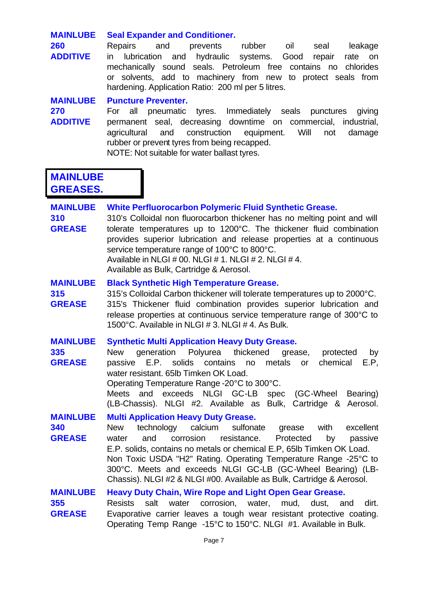| <b>MAINLUBE</b>      | <b>Seal Expander and Conditioner.</b>                                                                                                                     |
|----------------------|-----------------------------------------------------------------------------------------------------------------------------------------------------------|
| 260                  | Repairs<br>and<br>prevents<br>rubber<br>oil<br>seal<br>leakage                                                                                            |
| <b>ADDITIVE</b>      | hydraulic<br>lubrication<br>systems.<br>Good<br>and<br>repair<br>rate<br>in.<br>on<br>mechanically sound seals. Petroleum free contains no<br>chlorides   |
|                      | or solvents, add to machinery from new to protect seals from                                                                                              |
|                      | hardening. Application Ratio: 200 ml per 5 litres.                                                                                                        |
| <b>MAINLUBE</b>      | <b>Puncture Preventer.</b>                                                                                                                                |
| 270                  | all<br>Immediately seals punctures<br>pneumatic tyres.<br>For<br>giving                                                                                   |
| <b>ADDITIVE</b>      | permanent seal, decreasing downtime on commercial,<br>industrial,<br>construction<br>equipment.<br>Will<br>agricultural<br>and<br>damage<br>not           |
|                      | rubber or prevent tyres from being recapped.                                                                                                              |
|                      | NOTE: Not suitable for water ballast tyres.                                                                                                               |
| <b>MAINLUBE</b>      |                                                                                                                                                           |
| <b>GREASES.</b>      |                                                                                                                                                           |
| <b>MAINLUBE</b>      | White Perfluorocarbon Polymeric Fluid Synthetic Grease.                                                                                                   |
| 310                  | 310's Colloidal non fluorocarbon thickener has no melting point and will                                                                                  |
| <b>GREASE</b>        | tolerate temperatures up to 1200°C. The thickener fluid combination                                                                                       |
|                      | provides superior lubrication and release properties at a continuous                                                                                      |
|                      | service temperature range of 100°C to 800°C.<br>Available in NLGI # 00. NLGI # 1. NLGI # 2. NLGI # 4.                                                     |
|                      | Available as Bulk, Cartridge & Aerosol.                                                                                                                   |
| <b>MAINLUBE</b>      | <b>Black Synthetic High Temperature Grease.</b>                                                                                                           |
| 315                  | 315's Colloidal Carbon thickener will tolerate temperatures up to 2000°C.                                                                                 |
| <b>GREASE</b>        | 315's Thickener fluid combination provides superior lubrication and<br>release properties at continuous service temperature range of 300°C to             |
|                      | 1500°C. Available in NLGI # 3. NLGI # 4. As Bulk.                                                                                                         |
| <b>MAINLUBE</b>      | <b>Synthetic Multi Application Heavy Duty Grease.</b>                                                                                                     |
| 335                  | New<br>generation<br>Polyurea thickened<br>grease,<br>protected<br>by                                                                                     |
| <b>GREASE</b>        | passive E.P. solids contains no<br>metals<br>chemical<br>E.P,<br>or                                                                                       |
|                      | water resistant. 65lb Timken OK Load.<br>Operating Temperature Range -20°C to 300°C.                                                                      |
|                      | and exceeds NLGI GC-LB<br>spec (GC-Wheel<br><b>Meets</b><br>Bearing)                                                                                      |
|                      | (LB-Chassis). NLGI #2. Available as Bulk, Cartridge & Aerosol.                                                                                            |
| <b>MAINLUBE</b>      | <b>Multi Application Heavy Duty Grease.</b>                                                                                                               |
| 340<br><b>GREASE</b> | technology<br>calcium<br>sulfonate<br><b>New</b><br>with<br>excellent<br>grease<br>corrosion<br>resistance.<br>and<br>Protected<br>by<br>water<br>passive |
|                      | E.P. solids, contains no metals or chemical E.P, 65lb Timken OK Load.                                                                                     |
|                      | Non Toxic USDA "H2" Rating. Operating Temperature Range -25°C to                                                                                          |
|                      | 300°C. Meets and exceeds NLGI GC-LB (GC-Wheel Bearing) (LB-<br>Chassis). NLGI #2 & NLGI #00. Available as Bulk, Cartridge & Aerosol.                      |
| <b>MAINLUBE</b>      | <b>Heavy Duty Chain, Wire Rope and Light Open Gear Grease.</b>                                                                                            |
| 355                  | corrosion,<br><b>Resists</b><br>salt<br>water<br>water, mud, dust, and<br>dirt.                                                                           |
| <b>GREASE</b>        | Evaporative carrier leaves a tough wear resistant protective coating.                                                                                     |
|                      | Operating Temp Range -15°C to 150°C. NLGI #1. Available in Bulk.                                                                                          |
|                      | Page 7                                                                                                                                                    |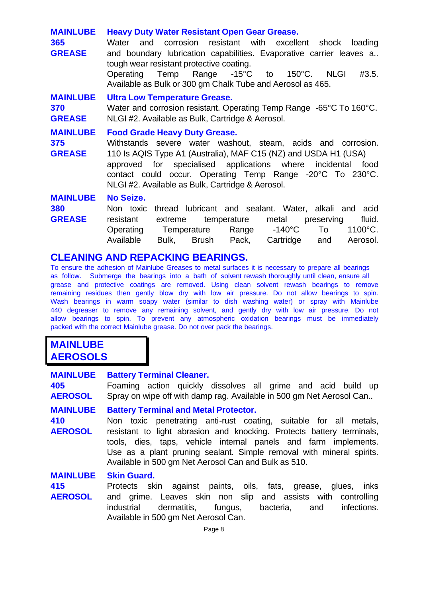| <b>MAINLUBE</b>                         | <b>Heavy Duty Water Resistant Open Gear Grease.</b>                                                                                                                                                                                                                                                                                                        |
|-----------------------------------------|------------------------------------------------------------------------------------------------------------------------------------------------------------------------------------------------------------------------------------------------------------------------------------------------------------------------------------------------------------|
| 365<br><b>GREASE</b>                    | and<br>corrosion resistant with excellent shock loading<br>Water<br>and boundary lubrication capabilities. Evaporative carrier leaves a<br>tough wear resistant protective coating.                                                                                                                                                                        |
|                                         | Operating Temp Range -15°C to 150°C.<br>#3.5.<br><b>NLGI</b><br>Available as Bulk or 300 gm Chalk Tube and Aerosol as 465.                                                                                                                                                                                                                                 |
| <b>MAINLUBE</b><br>370<br><b>GREASE</b> | <b>Ultra Low Temperature Grease.</b><br>Water and corrosion resistant. Operating Temp Range -65°C To 160°C.<br>NLGI #2. Available as Bulk, Cartridge & Aerosol.                                                                                                                                                                                            |
| <b>MAINLUBE</b><br>375<br><b>GREASE</b> | <b>Food Grade Heavy Duty Grease.</b><br>Withstands severe water washout, steam, acids and corrosion.<br>110 Is AQIS Type A1 (Australia), MAF C15 (NZ) and USDA H1 (USA)<br>approved for specialised applications where incidental<br>food<br>contact could occur. Operating Temp Range -20°C To 230°C.<br>NLGI #2. Available as Bulk, Cartridge & Aerosol. |
| <b>MAINLUBE</b><br>380<br><b>GREASE</b> | No Seize.<br>thread lubricant and sealant. Water, alkali and acid<br>Non toxic<br>fluid.<br>resistant<br>temperature<br>metal<br>preserving<br>extreme<br>1100°C.<br>Range $-140^{\circ}$ C<br>To<br>Operating<br>Temperature<br>Available<br>Bulk, Brush Pack, Cartridge<br>and<br>Aerosol.                                                               |

# **CLEANING AND REPACKING BEARINGS.**

To ensure the adhesion of Mainlube Greases to metal surfaces it is necessary to prepare all bearings as follow. Submerge the bearings into a bath of solvent rewash thoroughly until clean, ensure all grease and protective coatings are removed. Using clean solvent rewash bearings to remove remaining residues then gently blow dry with low air pressure. Do not allow bearings to spin. Wash bearings in warm soapy water (similar to dish washing water) or spray with Mainlube 440 degreaser to remove any remaining solvent, and gently dry with low air pressure. Do not allow bearings to spin. To prevent any atmospheric oxidation bearings must be immediately packed with the correct Mainlube grease. Do not over pack the bearings.

# **MAINLUBE AEROSOLS**

| <b>MAINLUBE</b><br>405<br><b>AEROSOL</b> | <b>Battery Terminal Cleaner.</b><br>Foaming action quickly dissolves all grime and acid build up<br>Spray on wipe off with damp rag. Available in 500 gm Net Aerosol Can                                                                                                                                                                                                                      |
|------------------------------------------|-----------------------------------------------------------------------------------------------------------------------------------------------------------------------------------------------------------------------------------------------------------------------------------------------------------------------------------------------------------------------------------------------|
| <b>MAINLUBE</b><br>410<br><b>AEROSOL</b> | <b>Battery Terminal and Metal Protector.</b><br>Non toxic penetrating anti-rust coating, suitable for all metals,<br>resistant to light abrasion and knocking. Protects battery terminals,<br>tools, dies, taps, vehicle internal panels and farm implements.<br>Use as a plant pruning sealant. Simple removal with mineral spirits.<br>Available in 500 gm Net Aerosol Can and Bulk as 510. |
| <b>MAINLUBE</b><br>$\overline{115}$      | <b>Skin Guard.</b><br>Protocts skip against paints, oils fats grosse gluos<br>inke                                                                                                                                                                                                                                                                                                            |

**415** Protects skin against paints, oils, fats, grease, glues, inks **AEROSOL** and grime. Leaves skin non slip and assists with controlling industrial dermatitis, fungus, bacteria, and infections. Available in 500 gm Net Aerosol Can.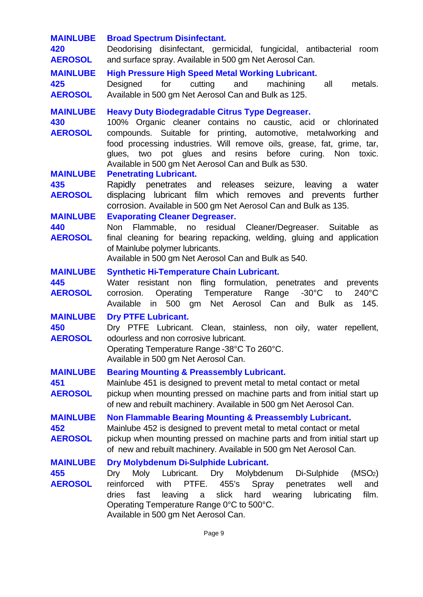| <b>MAINLUBE</b><br>420<br><b>AEROSOL</b> | <b>Broad Spectrum Disinfectant.</b><br>Deodorising disinfectant, germicidal, fungicidal, antibacterial room<br>and surface spray. Available in 500 gm Net Aerosol Can.                                                                                                                                                                                                                   |
|------------------------------------------|------------------------------------------------------------------------------------------------------------------------------------------------------------------------------------------------------------------------------------------------------------------------------------------------------------------------------------------------------------------------------------------|
| <b>MAINLUBE</b><br>425<br><b>AEROSOL</b> | <b>High Pressure High Speed Metal Working Lubricant.</b><br>for cutting and<br>Designed<br>machining<br>all<br>metals.<br>Available in 500 gm Net Aerosol Can and Bulk as 125.                                                                                                                                                                                                           |
| <b>MAINLUBE</b><br>430<br><b>AEROSOL</b> | <b>Heavy Duty Biodegradable Citrus Type Degreaser.</b><br>100% Organic cleaner contains no caustic, acid or chlorinated<br>compounds. Suitable for printing, automotive, metalworking and<br>food processing industries. Will remove oils, grease, fat, grime, tar,<br>glues, two pot glues and resins before curing. Non toxic.<br>Available in 500 gm Net Aerosol Can and Bulk as 530. |
| <b>MAINLUBE</b><br>435<br><b>AEROSOL</b> | <b>Penetrating Lubricant.</b><br>Rapidly penetrates and releases seizure, leaving a water<br>displacing lubricant film which removes and prevents further<br>corrosion. Available in 500 gm Net Aerosol Can and Bulk as 135.                                                                                                                                                             |
| <b>MAINLUBE</b><br>440<br><b>AEROSOL</b> | <b>Evaporating Cleaner Degreaser.</b><br>Non Flammable, no residual Cleaner/Degreaser. Suitable as<br>final cleaning for bearing repacking, welding, gluing and application<br>of Mainlube polymer lubricants.<br>Available in 500 gm Net Aerosol Can and Bulk as 540.                                                                                                                   |
| <b>MAINLUBE</b><br>445<br><b>AEROSOL</b> | <b>Synthetic Hi-Temperature Chain Lubricant.</b><br>Water resistant non fling formulation, penetrates and prevents<br>corrosion. Operating Temperature Range -30°C to<br>$240^{\circ}$ C<br>Available in 500 gm Net Aerosol Can and Bulk<br>145.<br>as                                                                                                                                   |
| <b>MAINLUBE</b><br>450<br><b>AEROSOL</b> | <b>Dry PTFE Lubricant.</b><br>Dry PTFE Lubricant. Clean, stainless, non oily, water repellent,<br>odourless and non corrosive lubricant.<br>Operating Temperature Range -38°C To 260°C<br>Available in 500 gm Net Aerosol Can.                                                                                                                                                           |
| <b>MAINLUBE</b><br>451<br><b>AEROSOL</b> | <b>Bearing Mounting &amp; Preassembly Lubricant.</b><br>Mainlube 451 is designed to prevent metal to metal contact or metal<br>pickup when mounting pressed on machine parts and from initial start up<br>of new and rebuilt machinery. Available in 500 gm Net Aerosol Can.                                                                                                             |
| <b>MAINLUBE</b><br>452<br><b>AEROSOL</b> | <b>Non Flammable Bearing Mounting &amp; Preassembly Lubricant.</b><br>Mainlube 452 is designed to prevent metal to metal contact or metal<br>pickup when mounting pressed on machine parts and from initial start up<br>of new and rebuilt machinery. Available in 500 gm Net Aerosol Can.                                                                                               |
| <b>MAINLUBE</b><br>455<br><b>AEROSOL</b> | Dry Molybdenum Di-Sulphide Lubricant.<br>Lubricant. Dry Molybdenum<br>Di-Sulphide<br>(MSO <sub>2</sub> )<br>Dry<br>Moly<br>reinforced<br>with<br>PTFE.<br>455's<br>Spray<br>penetrates<br>well<br>and<br>fast<br>leaving<br>slick<br>hard wearing<br>film.<br>dries<br>lubricating<br>a<br>Operating Temperature Range 0°C to 500°C.<br>Available in 500 gm Net Aerosol Can.             |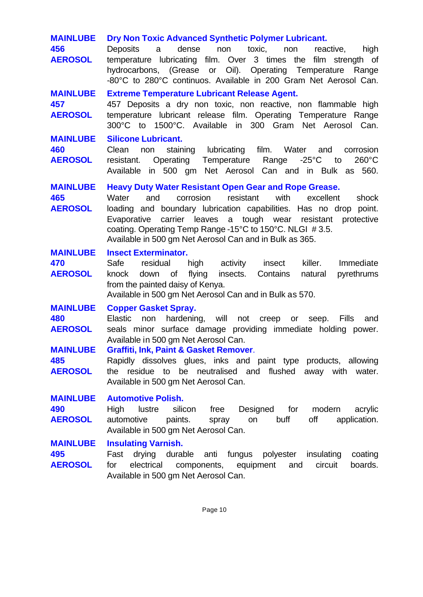| <b>MAINLUBE</b><br>456<br><b>AEROSOL</b>                                             | Dry Non Toxic Advanced Synthetic Polymer Lubricant.<br>dense<br>toxic,<br><b>Deposits</b><br>a<br>non<br>reactive,<br>non<br>high<br>temperature lubricating film. Over 3 times the<br>film strength of<br>hydrocarbons, (Grease or Oil). Operating Temperature<br>Range<br>-80°C to 280°C continuos. Available in 200 Gram Net Aerosol Can.                                                                                                       |
|--------------------------------------------------------------------------------------|----------------------------------------------------------------------------------------------------------------------------------------------------------------------------------------------------------------------------------------------------------------------------------------------------------------------------------------------------------------------------------------------------------------------------------------------------|
| <b>MAINLUBE</b><br>457<br><b>AEROSOL</b>                                             | <b>Extreme Temperature Lubricant Release Agent.</b><br>457 Deposits a dry non toxic, non reactive, non flammable high<br>temperature lubricant release film. Operating Temperature Range<br>300°C to 1500°C. Available in 300 Gram Net Aerosol<br>Can.                                                                                                                                                                                             |
| <b>MAINLUBE</b><br>460<br><b>AEROSOL</b>                                             | <b>Silicone Lubricant.</b><br>staining lubricating film. Water<br>Clean<br>non<br>corrosion<br>and<br>Temperature Range<br>$-25^{\circ}$ C<br>$260^{\circ}$ C<br>resistant.<br>Operating<br>to<br>Available in 500 gm Net Aerosol Can and in Bulk as 560.                                                                                                                                                                                          |
| <b>MAINLUBE</b><br>465<br><b>AEROSOL</b>                                             | <b>Heavy Duty Water Resistant Open Gear and Rope Grease.</b><br>Water<br>and<br>corrosion<br>resistant<br>with<br>excellent<br>shock<br>loading and boundary lubrication capabilities. Has no drop point.<br>carrier leaves a tough wear resistant protective<br>Evaporative<br>coating. Operating Temp Range -15°C to 150°C. NLGI #3.5.<br>Available in 500 gm Net Aerosol Can and in Bulk as 365.                                                |
| <b>MAINLUBE</b><br>470<br><b>AEROSOL</b>                                             | <b>Insect Exterminator.</b><br>Safe<br>killer.<br>residual<br>high activity<br>insect<br>Immediate<br>flying<br>insects.<br>Contains<br>down<br>of<br>pyrethrums<br>knock<br>natural<br>from the painted daisy of Kenya.<br>Available in 500 gm Net Aerosol Can and in Bulk as 570.                                                                                                                                                                |
| <b>MAINLUBE</b><br>480<br><b>AEROSOL</b><br><b>MAINLUBE</b><br>485<br><b>AEROSOL</b> | <b>Copper Gasket Spray.</b><br><b>Elastic</b><br>hardening, will<br>non<br>not<br>creep<br>Fills<br>or<br>seep.<br>and<br>seals minor surface damage providing immediate holding power.<br>Available in 500 gm Net Aerosol Can.<br>Graffiti, Ink, Paint & Gasket Remover.<br>Rapidly dissolves glues, inks and paint type products, allowing<br>the residue to be neutralised and flushed away with water.<br>Available in 500 gm Net Aerosol Can. |
| <b>MAINLUBE</b><br>490<br><b>AEROSOL</b>                                             | <b>Automotive Polish.</b><br>High lustre<br>silicon<br>free<br>Designed for<br>modern<br>acrylic<br>buff<br>off<br>application.<br>automotive<br>paints.<br>spray<br>on<br>Available in 500 gm Net Aerosol Can.                                                                                                                                                                                                                                    |
| <b>MAINLUBE</b><br>495<br><b>AEROSOL</b>                                             | <b>Insulating Varnish.</b><br>drying durable anti fungus polyester<br>Fast<br>insulating<br>coating<br>electrical<br>components, equipment<br>and<br>circuit<br>boards.<br>for<br>Available in 500 gm Net Aerosol Can.                                                                                                                                                                                                                             |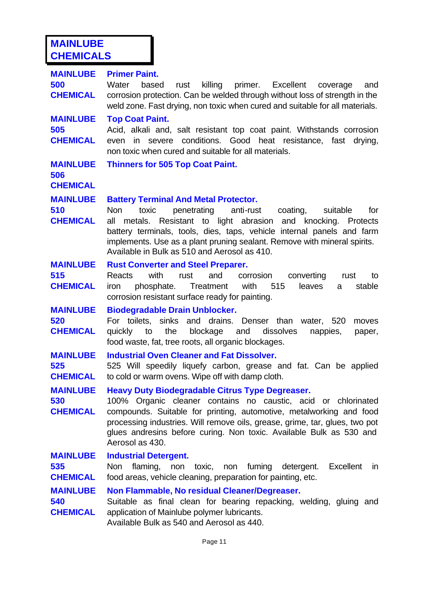# **MAINLUBE CHEMICALS**

| <b>MAINLUBE</b><br>500<br><b>CHEMICAL</b> | <b>Primer Paint.</b><br>killing primer. Excellent<br>Water<br>based<br>rust<br>coverage<br>and<br>corrosion protection. Can be welded through without loss of strength in the<br>weld zone. Fast drying, non toxic when cured and suitable for all materials.                                                                                                                                   |
|-------------------------------------------|-------------------------------------------------------------------------------------------------------------------------------------------------------------------------------------------------------------------------------------------------------------------------------------------------------------------------------------------------------------------------------------------------|
| <b>MAINLUBE</b><br>505<br><b>CHEMICAL</b> | <b>Top Coat Paint.</b><br>Acid, alkali and, salt resistant top coat paint. Withstands corrosion<br>in severe conditions. Good heat resistance, fast drying,<br>even<br>non toxic when cured and suitable for all materials.                                                                                                                                                                     |
| <b>MAINLUBE</b><br>506<br><b>CHEMICAL</b> | <b>Thinners for 505 Top Coat Paint.</b>                                                                                                                                                                                                                                                                                                                                                         |
| <b>MAINLUBE</b><br>510<br><b>CHEMICAL</b> | <b>Battery Terminal And Metal Protector.</b><br>toxic<br>penetrating anti-rust<br>Non<br>coating,<br>for<br>suitable<br>metals. Resistant to light abrasion and knocking. Protects<br>all<br>battery terminals, tools, dies, taps, vehicle internal panels and farm<br>implements. Use as a plant pruning sealant. Remove with mineral spirits.<br>Available in Bulk as 510 and Aerosol as 410. |
| <b>MAINLUBE</b><br>515<br><b>CHEMICAL</b> | <b>Rust Converter and Steel Preparer.</b><br>Reacts<br>with<br>rust<br>and<br>corrosion<br>converting<br>rust<br>to<br>with<br>515<br>leaves<br>stable<br>iron phosphate. Treatment<br>a<br>corrosion resistant surface ready for painting.                                                                                                                                                     |
| <b>MAINLUBE</b><br>520<br><b>CHEMICAL</b> | <b>Biodegradable Drain Unblocker.</b><br>For toilets, sinks and drains. Denser than water, 520<br>moves<br>the<br>blockage<br>dissolves<br>quickly<br>to<br>and<br>nappies,<br>paper,<br>food waste, fat, tree roots, all organic blockages.                                                                                                                                                    |
| <b>MAINLUBE</b><br>525<br><b>CHEMICAL</b> | <b>Industrial Oven Cleaner and Fat Dissolver.</b><br>525 Will speedily liquefy carbon, grease and fat. Can be applied<br>to cold or warm ovens. Wipe off with damp cloth.                                                                                                                                                                                                                       |
| <b>MAINLUBE</b><br>530<br><b>CHEMICAL</b> | <b>Heavy Duty Biodegradable Citrus Type Degreaser.</b><br>100% Organic cleaner contains no caustic, acid or chlorinated<br>compounds. Suitable for printing, automotive, metalworking and food<br>processing industries. Will remove oils, grease, grime, tar, glues, two pot<br>glues andresins before curing. Non toxic. Available Bulk as 530 and<br>Aerosol as 430.                         |
| <b>MAINLUBE</b><br>535<br><b>CHEMICAL</b> | <b>Industrial Detergent.</b><br>Non<br>flaming, non<br>Excellent<br>toxic, non fuming<br>detergent.<br><i>in</i><br>food areas, vehicle cleaning, preparation for painting, etc.                                                                                                                                                                                                                |
| <b>MAINLUBE</b><br>540<br><b>CHEMICAL</b> | Non Flammable, No residual Cleaner/Degreaser.<br>Suitable as final clean for bearing repacking, welding, gluing and<br>application of Mainlube polymer lubricants.<br>Available Bulk as 540 and Aerosol as 440.                                                                                                                                                                                 |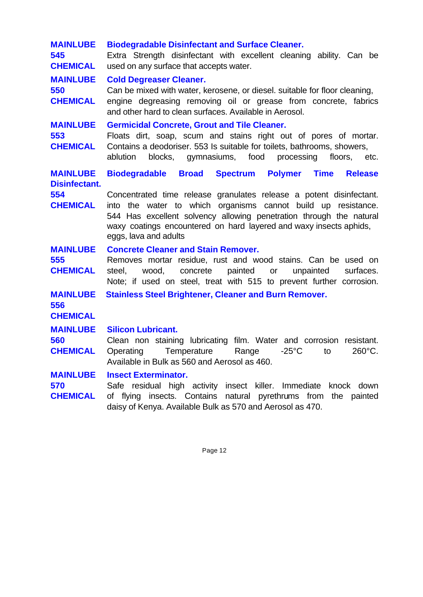| <b>MAINLUBE</b><br>545<br><b>CHEMICAL</b> | <b>Biodegradable Disinfectant and Surface Cleaner.</b><br>Extra Strength disinfectant with excellent cleaning ability. Can be<br>used on any surface that accepts water.                                                                                                                                   |
|-------------------------------------------|------------------------------------------------------------------------------------------------------------------------------------------------------------------------------------------------------------------------------------------------------------------------------------------------------------|
| <b>MAINLUBE</b><br>550<br><b>CHEMICAL</b> | <b>Cold Degreaser Cleaner.</b><br>Can be mixed with water, kerosene, or diesel. suitable for floor cleaning,<br>engine degreasing removing oil or grease from concrete, fabrics<br>and other hard to clean surfaces. Available in Aerosol.                                                                 |
| <b>MAINLUBE</b><br>553<br><b>CHEMICAL</b> | <b>Germicidal Concrete, Grout and Tile Cleaner.</b><br>Floats dirt, soap, scum and stains right out of pores of mortar.<br>Contains a deodoriser. 553 Is suitable for toilets, bathrooms, showers,<br>ablution<br>blocks, gymnasiums, food processing<br>floors, etc.                                      |
| <b>MAINLUBE</b><br><b>Disinfectant.</b>   | Biodegradable Broad Spectrum Polymer Time Release                                                                                                                                                                                                                                                          |
| 554<br><b>CHEMICAL</b>                    | Concentrated time release granulates release a potent disinfectant.<br>into the water to which organisms cannot build up resistance.<br>544 Has excellent solvency allowing penetration through the natural<br>waxy coatings encountered on hard layered and waxy insects aphids,<br>eggs, lava and adults |
| <b>MAINLUBE</b><br>555<br><b>CHEMICAL</b> | <b>Concrete Cleaner and Stain Remover.</b><br>Removes mortar residue, rust and wood stains. Can be used on<br>unpainted<br>wood,<br>concrete<br>painted<br>or<br>surfaces.<br>steel,<br>Note; if used on steel, treat with 515 to prevent further corrosion.                                               |
| <b>MAINLUBE</b><br>556<br><b>CHEMICAL</b> | <b>Stainless Steel Brightener, Cleaner and Burn Remover.</b>                                                                                                                                                                                                                                               |
| <b>MAINLUBE</b>                           | <b>Silicon Lubricant.</b>                                                                                                                                                                                                                                                                                  |
| 560<br><b>CHEMICAL</b>                    | Clean non staining lubricating film. Water and corrosion resistant.<br>Temperature<br>Range $-25^{\circ}$ C to<br>260°C.<br>Operating<br>Available in Bulk as 560 and Aerosol as 460.                                                                                                                      |
| <b>MAINLUBE</b><br>570<br><b>CHEMICAL</b> | <b>Insect Exterminator.</b><br>Safe residual high activity insect killer. Immediate knock down<br>of flying insects. Contains natural pyrethrums from the painted<br>daisy of Kenya. Available Bulk as 570 and Aerosol as 470.                                                                             |

Page 12